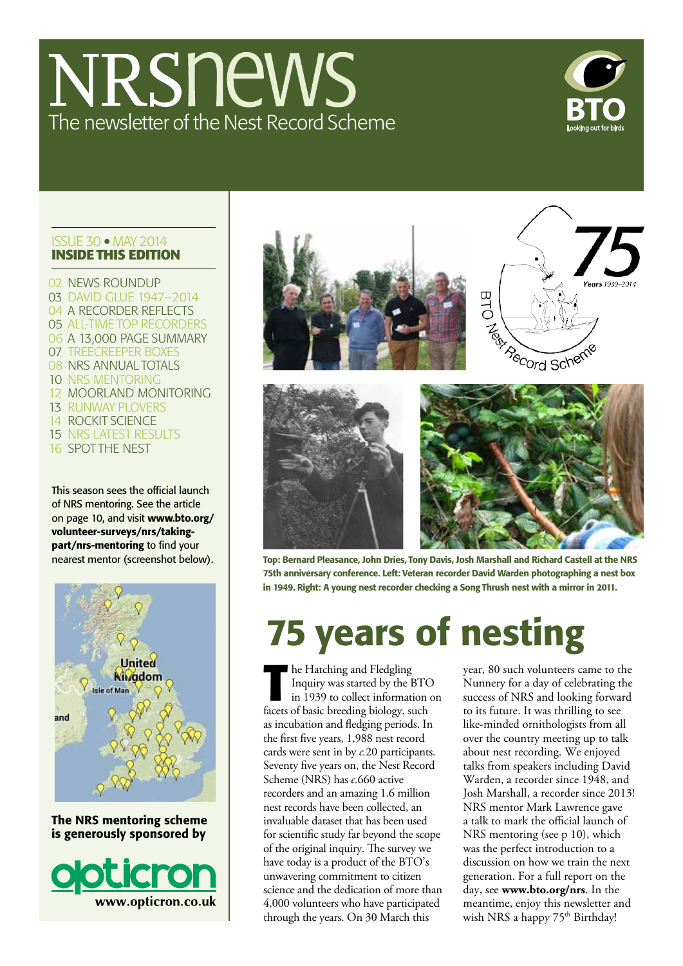# NRSnews The newsletter of the Nest Record Scheme



#### Issue 30 MAY 2014 **Inside this edition**

 news roundup 03 DAVID GLUE 1947-2014 04 A RECORDER REFLECTS all-time top recorders a 13,000 page summary treecreeper boxes NRS annual totals 10 NRS MENTORING 12 moorland monitoring runway plovers rockit science nrs latest results spot the nest

This season sees the official launch of NRS mentoring. See the article on page 10, and visit www.bto.org/ volunteer-surveys/nrs/takingpart/nrs-mentoring to find your nearest mentor (screenshot below).



The NRS mentoring scheme is generously sponsored by





Top: Bernard Pleasance, John Dries, Tony Davis, Josh Marshall and Richard Castell at the NRS 75th anniversary conference. Left: Veteran recorder David Warden photographing a nest box in 1949. Right: A young nest recorder checking a Song Thrush nest with a mirror in 2011.

# 75 years of nesting

**The Hatching and Fledgling<br>Inquiry was started by the H<br>in 1939 to collect information<br>facets of basis broading biology of** Inquiry was started by the BTO in 1939 to collect information on facets of basic breeding biology, such as incubation and fledging periods. In the first five years, 1,988 nest record cards were sent in by *c.*20 participants. Seventy five years on, the Nest Record Scheme (NRS) has *c.*660 active recorders and an amazing 1.6 million nest records have been collected, an invaluable dataset that has been used for scientific study far beyond the scope of the original inquiry. The survey we have today is a product of the BTO's unwavering commitment to citizen science and the dedication of more than 4,000 volunteers who have participated through the years. On 30 March this

year, 80 such volunteers came to the Nunnery for a day of celebrating the success of NRS and looking forward to its future. It was thrilling to see like-minded ornithologists from all over the country meeting up to talk about nest recording. We enjoyed talks from speakers including David Warden, a recorder since 1948, and Josh Marshall, a recorder since 2013! NRS mentor Mark Lawrence gave a talk to mark the official launch of NRS mentoring (see p 10), which was the perfect introduction to a discussion on how we train the next generation. For a full report on the day, see **www.bto.org/nrs**. In the meantime, enjoy this newsletter and wish NRS a happy 75<sup>th</sup> Birthday!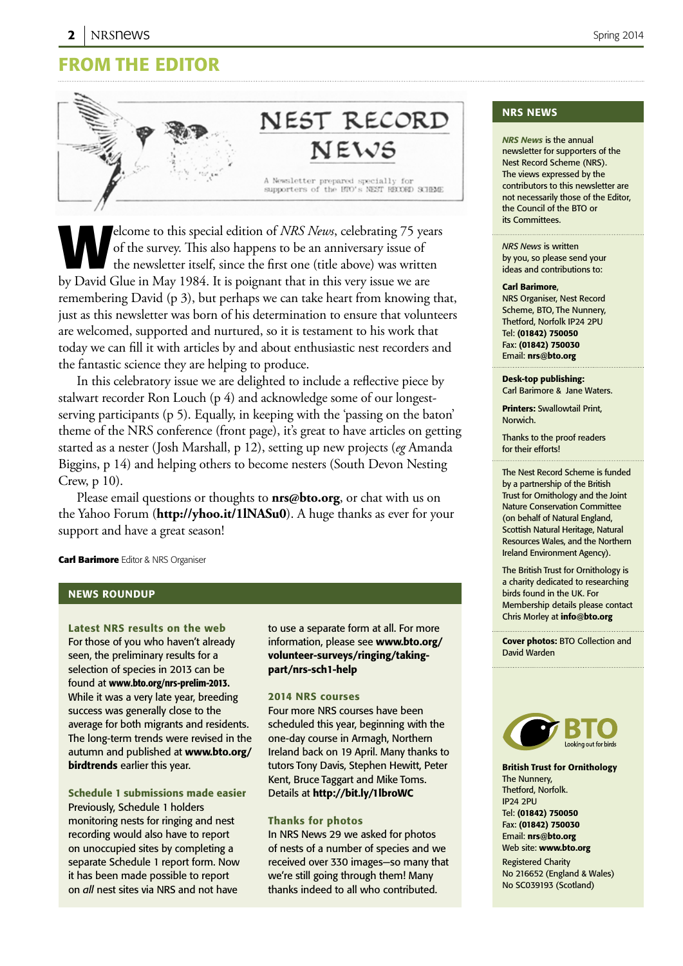### From the editor



elcome to this special edition of *NRS News*, celebrating 75 years<br>of the survey. This also happens to be an anniversary issue of<br>the newsletter itself, since the first one (title above) was written<br>by David Clua in May 10 of the survey. This also happens to be an anniversary issue of the newsletter itself, since the first one (title above) was written by David Glue in May 1984. It is poignant that in this very issue we are remembering David (p 3), but perhaps we can take heart from knowing that, just as this newsletter was born of his determination to ensure that volunteers are welcomed, supported and nurtured, so it is testament to his work that today we can fill it with articles by and about enthusiastic nest recorders and the fantastic science they are helping to produce.

In this celebratory issue we are delighted to include a reflective piece by stalwart recorder Ron Louch (p 4) and acknowledge some of our longestserving participants (p 5). Equally, in keeping with the 'passing on the baton' theme of the NRS conference (front page), it's great to have articles on getting started as a nester (Josh Marshall, p 12), setting up new projects (*eg* Amanda Biggins, p 14) and helping others to become nesters (South Devon Nesting Crew, p 10).

Please email questions or thoughts to **nrs@bto.org**, or chat with us on the Yahoo Forum (**http://yhoo.it/1lNASu0**). A huge thanks as ever for your support and have a great season!

**Carl Barimore** Editor & NRS Organiser

#### News roundup

Latest NRS results on the web For those of you who haven't already seen, the preliminary results for a selection of species in 2013 can be found at www.bto.org/nrs-prelim-2013. While it was a very late year, breeding success was generally close to the average for both migrants and residents. The long-term trends were revised in the autumn and published at www.bto.org/ birdtrends earlier this year.

Schedule 1 submissions made easier Previously, Schedule 1 holders monitoring nests for ringing and nest recording would also have to report on unoccupied sites by completing a separate Schedule 1 report form. Now it has been made possible to report on *all* nest sites via NRS and not have

to use a separate form at all. For more information, please see www.bto.org/ volunteer-surveys/ringing/takingpart/nrs-sch1-help

#### 2014 NRS courses

Four more NRS courses have been scheduled this year, beginning with the one-day course in Armagh, Northern Ireland back on 19 April. Many thanks to tutors Tony Davis, Stephen Hewitt, Peter Kent, Bruce Taggart and Mike Toms. Details at http://bit.ly/1lbroWC

#### Thanks for photos

In NRS News 29 we asked for photos of nests of a number of species and we received over 330 images—so many that we're still going through them! Many thanks indeed to all who contributed.

#### nrs News

*NRS News* is the annual newsletter for supporters of the Nest Record Scheme (NRS). The views expressed by the contributors to this newsletter are not necessarily those of the Editor, the Council of the BTO or its Committees.

*NRS News* is written by you, so please send your ideas and contributions to:

#### Carl Barimore,

NRS Organiser, Nest Record Scheme, BTO, The Nunnery, Thetford, Norfolk IP24 2PU Tel: (01842) 750050 Fax: (01842) 750030 Email: nrs@bto.org

Desk-top publishing: Carl Barimore & Jane Waters.

Printers: Swallowtail Print, Norwich.

Thanks to the proof readers for their efforts!

The Nest Record Scheme is funded by a partnership of the British Trust for Ornithology and the Joint Nature Conservation Committee (on behalf of Natural England, Scottish Natural Heritage, Natural Resources Wales, and the Northern Ireland Environment Agency).

The British Trust for Ornithology is a charity dedicated to researching birds found in the UK. For Membership details please contact Chris Morley at info@bto.org

Cover photos: BTO Collection and David Warden



British Trust for Ornithology The Nunnery, Thetford, Norfolk. IP24 2PU Tel: (01842) 750050 Fax: (01842) 750030 Email: nrs@bto.org Web site: www.bto.org

Registered Charity No 216652 (England & Wales) No SC039193 (Scotland)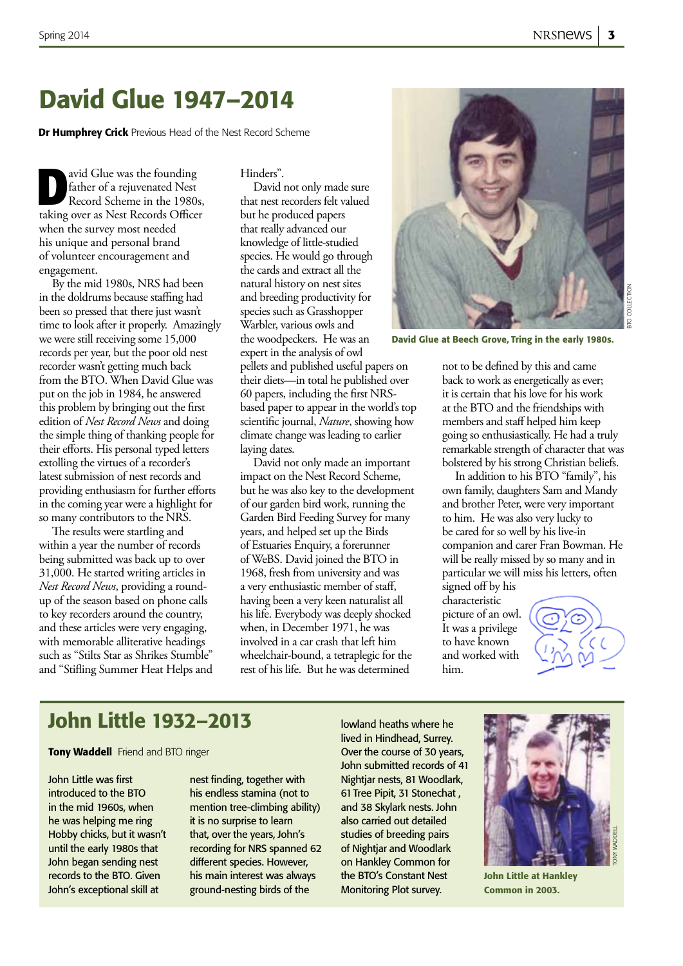### David Glue 1947–2014

**Dr Humphrey Crick** Previous Head of the Nest Record Scheme

avid Glue was the founding<br>father of a rejuvenated Nest<br>Record Scheme in the 1980s father of a rejuvenated Nest Record Scheme in the 1980s, taking over as Nest Records Officer when the survey most needed his unique and personal brand of volunteer encouragement and engagement.

By the mid 1980s, NRS had been in the doldrums because staffing had been so pressed that there just wasn't time to look after it properly. Amazingly we were still receiving some 15,000 records per year, but the poor old nest recorder wasn't getting much back from the BTO. When David Glue was put on the job in 1984, he answered this problem by bringing out the first edition of *Nest Record News* and doing the simple thing of thanking people for their efforts. His personal typed letters extolling the virtues of a recorder's latest submission of nest records and providing enthusiasm for further efforts in the coming year were a highlight for so many contributors to the NRS.

The results were startling and within a year the number of records being submitted was back up to over 31,000. He started writing articles in *Nest Record News*, providing a roundup of the season based on phone calls to key recorders around the country, and these articles were very engaging, with memorable alliterative headings such as "Stilts Star as Shrikes Stumble" and "Stifling Summer Heat Helps and Hinders".

David not only made sure that nest recorders felt valued but he produced papers that really advanced our knowledge of little-studied species. He would go through the cards and extract all the natural history on nest sites and breeding productivity for species such as Grasshopper Warbler, various owls and the woodpeckers. He was an expert in the analysis of owl pellets and published useful papers on their diets—in total he published over 60 papers, including the first NRSbased paper to appear in the world's top scientific journal, *Nature*, showing how climate change was leading to earlier

laying dates. David not only made an important impact on the Nest Record Scheme, but he was also key to the development of our garden bird work, running the Garden Bird Feeding Survey for many years, and helped set up the Birds of Estuaries Enquiry, a forerunner of WeBS. David joined the BTO in 1968, fresh from university and was a very enthusiastic member of staff, having been a very keen naturalist all his life. Everybody was deeply shocked when, in December 1971, he was involved in a car crash that left him wheelchair-bound, a tetraplegic for the rest of his life. But he was determined



David Glue at Beech Grove, Tring in the early 1980s.

not to be defined by this and came back to work as energetically as ever; it is certain that his love for his work at the BTO and the friendships with members and staff helped him keep going so enthusiastically. He had a truly remarkable strength of character that was bolstered by his strong Christian beliefs.

In addition to his BTO "family", his own family, daughters Sam and Mandy and brother Peter, were very important to him. He was also very lucky to be cared for so well by his live-in companion and carer Fran Bowman. He will be really missed by so many and in particular we will miss his letters, often signed off by his

characteristic picture of an owl. It was a privilege to have known and worked with him.



### John Little 1932–2013

**Tony Waddell** Friend and BTO ringer

John Little was first introduced to the BTO in the mid 1960s, when he was helping me ring Hobby chicks, but it wasn't until the early 1980s that John began sending nest records to the BTO. Given John's exceptional skill at

nest finding, together with his endless stamina (not to mention tree-climbing ability) it is no surprise to learn that, over the years, John's recording for NRS spanned 62 different species. However, his main interest was always ground-nesting birds of the

lowland heaths where he lived in Hindhead, Surrey. Over the course of 30 years, John submitted records of 41 Nightjar nests, 81 Woodlark, 61 Tree Pipit, 31 Stonechat , and 38 Skylark nests. John also carried out detailed studies of breeding pairs of Nightjar and Woodlark on Hankley Common for the BTO's Constant Nest Monitoring Plot survey.



John Little at Hankley Common in 2003.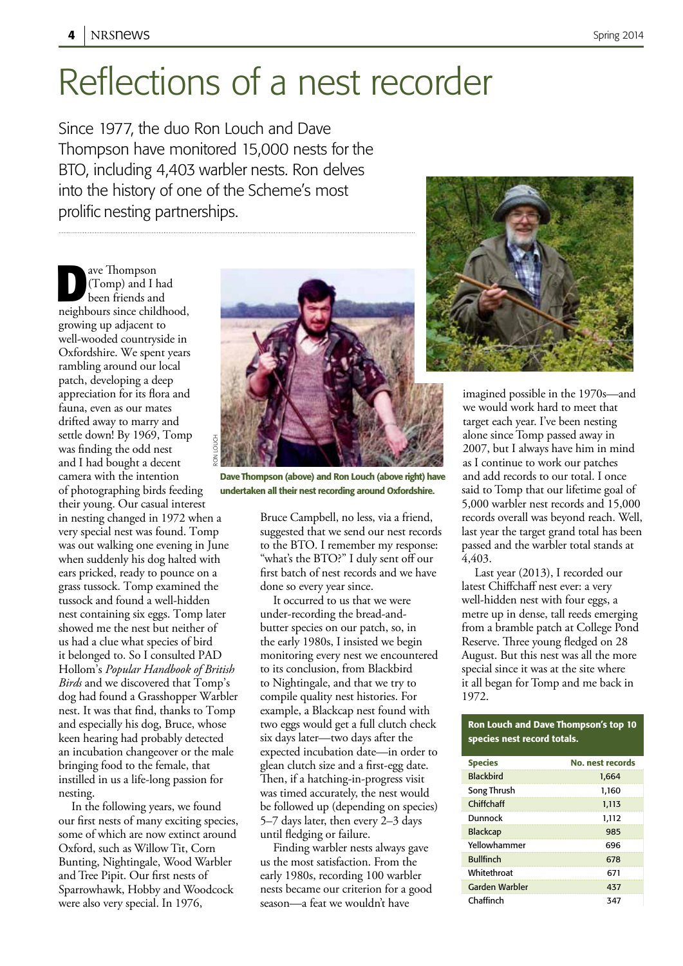## Reflections of a nest recorder

Since 1977, the duo Ron Louch and Dave Thompson have monitored 15,000 nests for the BTO, including 4,403 warbler nests. Ron delves into the history of one of the Scheme's most prolific nesting partnerships.

ave Thompson<br>
(Tomp) and I been friends an (Tomp) and I had been friends and neighbours since childhood, growing up adjacent to well-wooded countryside in Oxfordshire. We spent years rambling around our local patch, developing a deep appreciation for its flora and fauna, even as our mates drifted away to marry and settle down! By 1969, Tomp was finding the odd nest and I had bought a decent camera with the intention of photographing birds feeding their young. Our casual interest in nesting changed in 1972 when a very special nest was found. Tomp was out walking one evening in June when suddenly his dog halted with ears pricked, ready to pounce on a grass tussock. Tomp examined the tussock and found a well-hidden nest containing six eggs. Tomp later showed me the nest but neither of us had a clue what species of bird it belonged to. So I consulted PAD Hollom's *Popular Handbook of British Birds* and we discovered that Tomp's dog had found a Grasshopper Warbler nest. It was that find, thanks to Tomp and especially his dog, Bruce, whose keen hearing had probably detected an incubation changeover or the male bringing food to the female, that instilled in us a life-long passion for nesting. ron louch

In the following years, we found our first nests of many exciting species, some of which are now extinct around Oxford, such as Willow Tit, Corn Bunting, Nightingale, Wood Warbler and Tree Pipit. Our first nests of Sparrowhawk, Hobby and Woodcock were also very special. In 1976,



Dave Thompson (above) and Ron Louch (above right) have undertaken all their nest recording around Oxfordshire.

Bruce Campbell, no less, via a friend, suggested that we send our nest records to the BTO. I remember my response: "what's the BTO?" I duly sent off our first batch of nest records and we have done so every year since.

It occurred to us that we were under-recording the bread-andbutter species on our patch, so, in the early 1980s, I insisted we begin monitoring every nest we encountered to its conclusion, from Blackbird to Nightingale, and that we try to compile quality nest histories. For example, a Blackcap nest found with two eggs would get a full clutch check six days later—two days after the expected incubation date—in order to glean clutch size and a first-egg date. Then, if a hatching-in-progress visit was timed accurately, the nest would be followed up (depending on species) 5–7 days later, then every 2–3 days until fledging or failure.

Finding warbler nests always gave us the most satisfaction. From the early 1980s, recording 100 warbler nests became our criterion for a good season—a feat we wouldn't have



imagined possible in the 1970s—and we would work hard to meet that target each year. I've been nesting alone since Tomp passed away in 2007, but I always have him in mind as I continue to work our patches and add records to our total. I once said to Tomp that our lifetime goal of 5,000 warbler nest records and 15,000 records overall was beyond reach. Well, last year the target grand total has been passed and the warbler total stands at 4,403.

Last year (2013), I recorded our latest Chiffchaff nest ever: a very well-hidden nest with four eggs, a metre up in dense, tall reeds emerging from a bramble patch at College Pond Reserve. Three young fledged on 28 August. But this nest was all the more special since it was at the site where it all began for Tomp and me back in 1972.

#### Ron Louch and Dave Thompson's top 10 species nest record totals.

| <b>Species</b>   | No. nest records |
|------------------|------------------|
| <b>Blackbird</b> | 1.664            |
| Song Thrush      | 1,160            |
| Chiffchaff       | 1.113            |
| Dunnock          | 1,112            |
| <b>Blackcap</b>  | 985              |
| Yellowhammer     | 696              |
| <b>Bullfinch</b> | 678              |
| Whitethroat      | 671              |
| Garden Warbler   | 437              |
| Chaffinch        | 347              |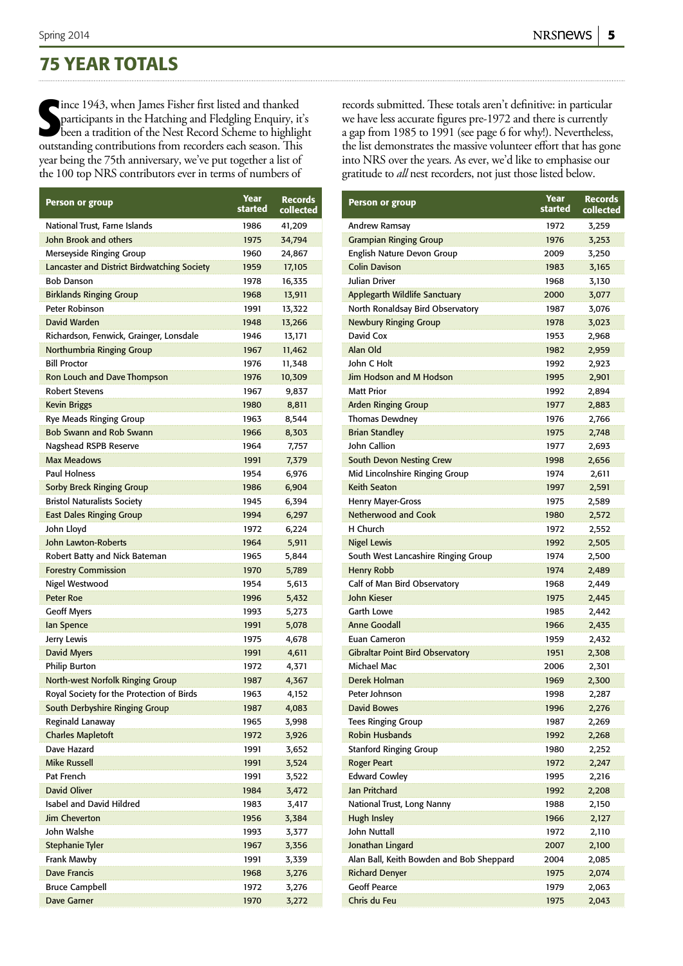### **75 YEAR TOTALS**

Since 1943, when James Fisher first listed and thanked<br>
participants in the Hatching and Fledgling Enquiry, it<br>
been a tradition of the Nest Record Scheme to highligh<br>
outstanding contributions from recorders each season. lince 1943, when James Fisher first listed and thanked participants in the Hatching and Fledgling Enquiry, it's been a tradition of the Nest Record Scheme to highlight year being the 75th anniversary, we've put together a list of the 100 top NRS contributors ever in terms of numbers of

| <b>Person or group</b>                      | Year<br>started | <b>Records</b><br>collected |
|---------------------------------------------|-----------------|-----------------------------|
| National Trust, Farne Islands               | 1986            | 41,209                      |
| John Brook and others                       | 1975            | 34,794                      |
| Merseyside Ringing Group                    | 1960            | 24,867                      |
| Lancaster and District Birdwatching Society | 1959            | 17,105                      |
| <b>Bob Danson</b>                           | 1978            | 16,335                      |
| <b>Birklands Ringing Group</b>              | 1968            | 13,911                      |
| Peter Robinson                              | 1991            | 13,322                      |
| David Warden                                | 1948            | 13,266                      |
| Richardson, Fenwick, Grainger, Lonsdale     | 1946            | 13,171                      |
| Northumbria Ringing Group                   | 1967            | 11,462                      |
| <b>Bill Proctor</b>                         | 1976            | 11,348                      |
| Ron Louch and Dave Thompson                 | 1976            | 10,309                      |
| <b>Robert Stevens</b>                       | 1967            | 9,837                       |
| <b>Kevin Briggs</b>                         | 1980            | 8,811                       |
| <b>Rye Meads Ringing Group</b>              | 1963            | 8,544                       |
| <b>Bob Swann and Rob Swann</b>              | 1966            | 8,303                       |
| Nagshead RSPB Reserve                       | 1964            | 7,757                       |
| <b>Max Meadows</b>                          | 1991            | 7,379                       |
| <b>Paul Holness</b>                         | 1954            | 6,976                       |
| <b>Sorby Breck Ringing Group</b>            | 1986            | 6,904                       |
| <b>Bristol Naturalists Society</b>          | 1945            | 6,394                       |
| <b>East Dales Ringing Group</b>             | 1994            | 6,297                       |
| John Lloyd                                  | 1972            | 6,224                       |
| John Lawton-Roberts                         | 1964            | 5,911                       |
| Robert Batty and Nick Bateman               | 1965            | 5,844                       |
| <b>Forestry Commission</b>                  | 1970            | 5,789                       |
| Nigel Westwood                              | 1954            | 5,613                       |
| <b>Peter Roe</b>                            | 1996            | 5,432                       |
| <b>Geoff Myers</b>                          | 1993            | 5,273                       |
| lan Spence                                  | 1991            | 5,078                       |
| Jerry Lewis                                 | 1975            | 4,678                       |
| <b>David Myers</b>                          | 1991            | 4,611                       |
| <b>Philip Burton</b>                        | 1972            | 4,371                       |
| North-west Norfolk Ringing Group            | 1987            | 4,367                       |
| Royal Society for the Protection of Birds   | 1963            | 4,152                       |
| South Derbyshire Ringing Group              | 1987            | 4,083                       |
| Reginald Lanaway                            | 1965            | 3,998                       |
| <b>Charles Mapletoft</b>                    | 1972            | 3,926                       |
| Dave Hazard                                 | 1991            | 3,652                       |
| Mike Russell                                | 1991            | 3,524                       |
| Pat French                                  | 1991            | 3,522                       |
| David Oliver                                | 1984            | 3,472                       |
| <b>Isabel and David Hildred</b>             | 1983            | 3,417                       |
| Jim Cheverton                               | 1956            | 3,384                       |
| John Walshe                                 | 1993            | 3,377                       |
| <b>Stephanie Tyler</b>                      | 1967            | 3,356                       |
| Frank Mawby                                 | 1991            | 3,339                       |
| <b>Dave Francis</b>                         | 1968            | 3,276                       |
| <b>Bruce Campbell</b>                       | 1972            | 3,276                       |
| <b>Dave Garner</b>                          | 1970            | 3,272                       |

records submitted. These totals aren't definitive: in particular we have less accurate figures pre-1972 and there is currently a gap from 1985 to 1991 (see page 6 for why!). Nevertheless, the list demonstrates the massive volunteer effort that has gone into NRS over the years. As ever, we'd like to emphasise our gratitude to *all* nest recorders, not just those listed below.

| Records<br>collected | <b>Person or group</b>                   | Year<br>started | <b>Records</b><br>collected |
|----------------------|------------------------------------------|-----------------|-----------------------------|
| 41,209               | Andrew Ramsay                            | 1972            | 3,259                       |
| 34,794               | <b>Grampian Ringing Group</b>            | 1976            | 3,253                       |
| 24,867               | English Nature Devon Group               | 2009            | 3,250                       |
| 17,105               | <b>Colin Davison</b>                     | 1983            | 3,165                       |
| 16,335               | Julian Driver                            | 1968            | 3,130                       |
| 13,911               | <b>Applegarth Wildlife Sanctuary</b>     | 2000            | 3,077                       |
| 13,322               | North Ronaldsay Bird Observatory         | 1987            | 3,076                       |
| 13,266               | <b>Newbury Ringing Group</b>             | 1978            | 3,023                       |
| 13,171               | David Cox                                | 1953            | 2,968                       |
| 11,462               | Alan Old                                 | 1982            | 2,959                       |
| 11,348               | John C Holt                              | 1992            | 2,923                       |
| 10,309               | Jim Hodson and M Hodson                  | 1995            | 2,901                       |
| 9,837                | <b>Matt Prior</b>                        | 1992            | 2,894                       |
| 8,811                | <b>Arden Ringing Group</b>               | 1977            | 2,883                       |
| 8,544                | <b>Thomas Dewdney</b>                    | 1976            | 2,766                       |
| 8,303                | <b>Brian Standley</b>                    | 1975            | 2,748                       |
| 7,757                | John Callion                             | 1977            | 2,693                       |
| 7,379                | <b>South Devon Nesting Crew</b>          | 1998            | 2,656                       |
| 6,976                | Mid Lincolnshire Ringing Group           | 1974            | 2,611                       |
| 6,904                | <b>Keith Seaton</b>                      | 1997            | 2,591                       |
| 6,394                | <b>Henry Mayer-Gross</b>                 | 1975            | 2,589                       |
| 6,297                | <b>Netherwood and Cook</b>               | 1980            | 2,572                       |
| 6,224                | H Church                                 | 1972            | 2,552                       |
| 5,911                | <b>Nigel Lewis</b>                       | 1992            | 2,505                       |
| 5,844                | South West Lancashire Ringing Group      | 1974            | 2,500                       |
| 5,789                | <b>Henry Robb</b>                        | 1974            | 2,489                       |
| 5,613                | Calf of Man Bird Observatory             | 1968            | 2,449                       |
| 5,432                | John Kieser                              | 1975            | 2,445                       |
| 5,273                | <b>Garth Lowe</b>                        | 1985            | 2,442                       |
| 5,078                | <b>Anne Goodall</b>                      | 1966            | 2,435                       |
| 4,678                | <b>Euan Cameron</b>                      | 1959            | 2,432                       |
| 4,611                | <b>Gibraltar Point Bird Observatory</b>  | 1951            | 2,308                       |
| 4,371                | Michael Mac                              | 2006            | 2,301                       |
| 4,367                | Derek Holman                             | 1969            | 2,300                       |
| 4,152                | Peter Johnson                            | 1998            | 2,287                       |
| 4,083                | <b>David Bowes</b>                       | 1996            | 2,276                       |
| 3,998                | <b>Tees Ringing Group</b>                | 1987            | 2,269                       |
| 3,926                | <b>Robin Husbands</b>                    | 1992            | 2,268                       |
| 3,652                | <b>Stanford Ringing Group</b>            | 1980            | 2,252                       |
| 3,524                | <b>Roger Peart</b>                       | 1972            | 2,247                       |
| 3,522                | <b>Edward Cowley</b>                     | 1995            | 2,216                       |
| 3,472                | <b>Jan Pritchard</b>                     | 1992            | 2,208                       |
| 3,417                | National Trust, Long Nanny               | 1988            | 2,150                       |
| 3,384                | Hugh Insley                              | 1966            | 2,127                       |
| 3,377                | John Nuttall                             | 1972            | 2,110                       |
| 3,356                | Jonathan Lingard                         | 2007            | 2,100                       |
| 3,339                | Alan Ball, Keith Bowden and Bob Sheppard | 2004            | 2,085                       |
| 3,276                | <b>Richard Denyer</b>                    | 1975            | 2,074                       |
| 3,276                | <b>Geoff Pearce</b>                      | 1979            | 2,063                       |
| 3,272                | Chris du Feu                             | 1975            | 2,043                       |
|                      |                                          |                 |                             |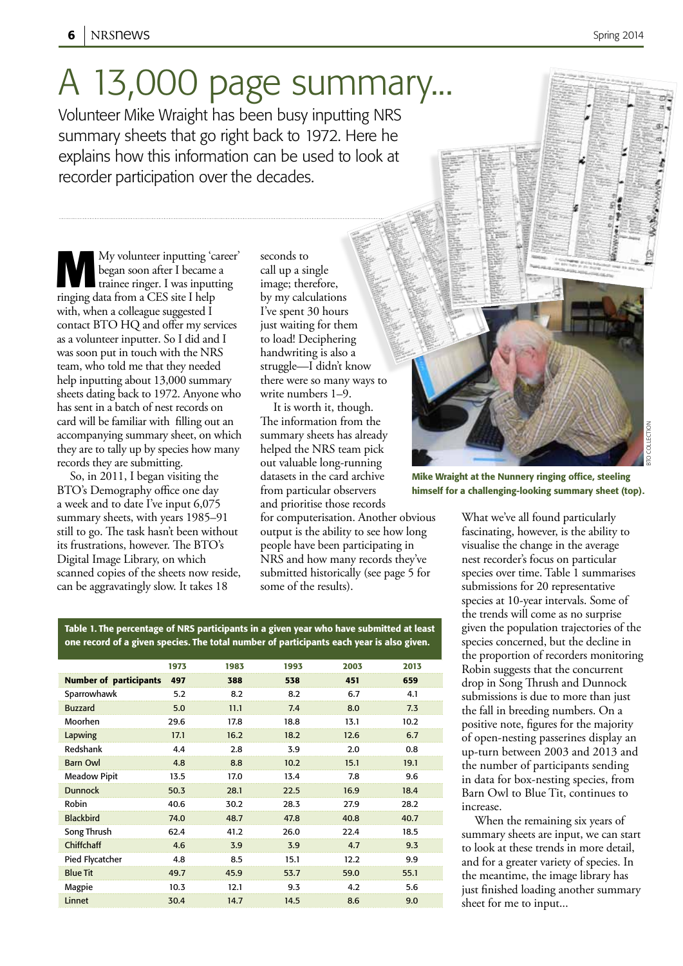# A 13,000 page summary...

Volunteer Mike Wraight has been busy inputting NRS summary sheets that go right back to 1972. Here he explains how this information can be used to look at recorder participation over the decades.

My volunteer inputting 'career' began soon after I became a trainee ringer. I was inputting ringing data from a CES site I help with, when a colleague suggested I contact BTO HQ and offer my services as a volunteer inputter. So I did and I was soon put in touch with the NRS team, who told me that they needed help inputting about 13,000 summary sheets dating back to 1972. Anyone who has sent in a batch of nest records on card will be familiar with filling out an accompanying summary sheet, on which they are to tally up by species how many records they are submitting.

So, in 2011, I began visiting the BTO's Demography office one day a week and to date I've input 6,075 summary sheets, with years 1985–91 still to go. The task hasn't been without its frustrations, however. The BTO's Digital Image Library, on which scanned copies of the sheets now reside, can be aggravatingly slow. It takes 18

seconds to call up a single image; therefore, by my calculations I've spent 30 hours just waiting for them to load! Deciphering handwriting is also a struggle—I didn't know there were so many ways to write numbers 1–9.

It is worth it, though. The information from the summary sheets has already helped the NRS team pick out valuable long-running datasets in the card archive from particular observers and prioritise those records for computerisation. Another obvious output is the ability to see how long

people have been participating in NRS and how many records they've submitted historically (see page 5 for some of the results).

Table 1. The percentage of NRS participants in a given year who have submitted at least one record of a given species. The total number of participants each year is also given.

|                               | 1973 | 1983 | 1993 | 2003 | 2013 |
|-------------------------------|------|------|------|------|------|
| <b>Number of participants</b> | 497  | 388  | 538  | 451  | 659  |
| Sparrowhawk                   | 5.2  | 8.2  | 8.2  | 6.7  | 4.1  |
| <b>Buzzard</b>                | 5.0  | 11.1 | 7.4  | 8.0  | 7.3  |
| Moorhen                       | 29.6 | 17.8 | 18.8 | 13.1 | 10.2 |
| Lapwing                       | 17.1 | 16.2 | 18.2 | 12.6 | 6.7  |
| Redshank                      | 4.4  | 2.8  | 3.9  | 2.0  | 0.8  |
| <b>Barn Owl</b>               | 4.8  | 8.8  | 10.2 | 15.1 | 19.1 |
| <b>Meadow Pipit</b>           | 13.5 | 17.0 | 13.4 | 7.8  | 9.6  |
| <b>Dunnock</b>                | 50.3 | 28.1 | 22.5 | 16.9 | 18.4 |
| Robin                         | 40.6 | 30.2 | 28.3 | 27.9 | 28.2 |
| <b>Blackbird</b>              | 74.0 | 48.7 | 47.8 | 40.8 | 40.7 |
| Song Thrush                   | 62.4 | 41.2 | 26.0 | 22.4 | 18.5 |
| Chiffchaff                    | 4.6  | 3.9  | 3.9  | 4.7  | 9.3  |
| Pied Flycatcher               | 4.8  | 8.5  | 15.1 | 12.2 | 9.9  |
| <b>Blue Tit</b>               | 49.7 | 45.9 | 53.7 | 59.0 | 55.1 |
| Magpie                        | 10.3 | 12.1 | 9.3  | 4.2  | 5.6  |
| Linnet                        | 30.4 | 14.7 | 14.5 | 8.6  | 9.0  |
|                               |      |      |      |      |      |

himself for a challenging-looking summary sheet (top).

What we've all found particularly fascinating, however, is the ability to visualise the change in the average nest recorder's focus on particular species over time. Table 1 summarises submissions for 20 representative species at 10-year intervals. Some of the trends will come as no surprise given the population trajectories of the species concerned, but the decline in the proportion of recorders monitoring Robin suggests that the concurrent drop in Song Thrush and Dunnock submissions is due to more than just the fall in breeding numbers. On a positive note, figures for the majority of open-nesting passerines display an up-turn between 2003 and 2013 and the number of participants sending in data for box-nesting species, from Barn Owl to Blue Tit, continues to increase.

When the remaining six years of summary sheets are input, we can start to look at these trends in more detail, and for a greater variety of species. In the meantime, the image library has just finished loading another summary sheet for me to input...

Mike Wraight at the Nunnery ringing office, steeling bto collection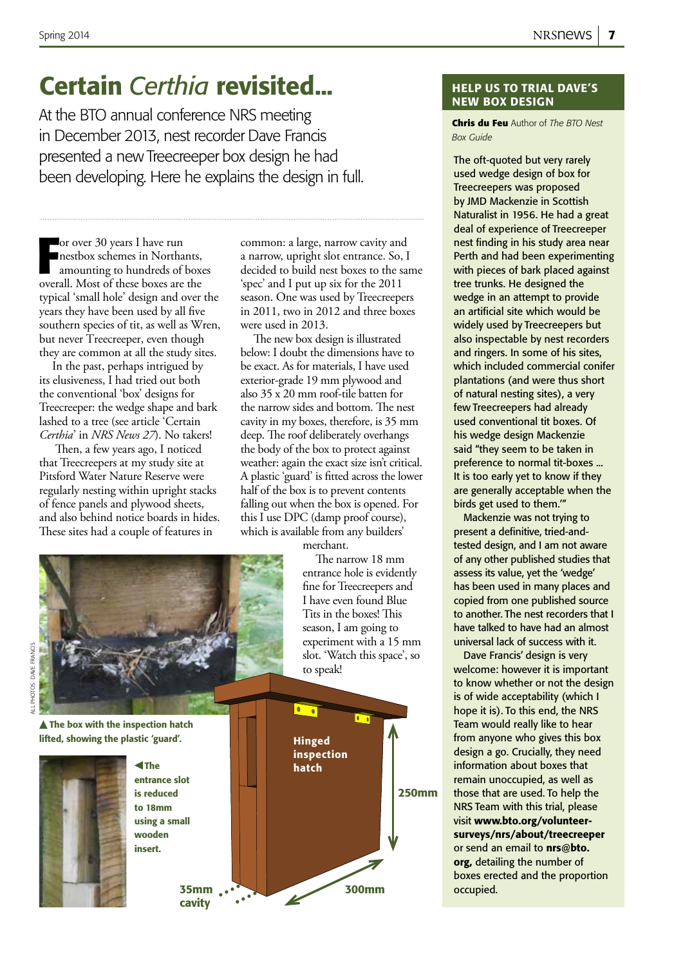### **Certain** *Certhia* revisited... **help us to trial DAVE'S**

At the BTO annual conference NRS meeting in December 2013, nest recorder Dave Francis presented a new Treecreeper box design he had been developing. Here he explains the design in full.

France 30 years I have run<br>
mestbox schemes in Northants,<br>
amounting to hundreds of boxe<br>
overall. Most of these boxes are the or over 30 years I have run nestbox schemes in Northants, amounting to hundreds of boxes typical 'small hole' design and over the years they have been used by all five southern species of tit, as well as Wren, but never Treecreeper, even though they are common at all the study sites.

In the past, perhaps intrigued by its elusiveness, I had tried out both the conventional 'box' designs for Treecreeper: the wedge shape and bark lashed to a tree (see article 'Certain *Certhia*' in *NRS News 27*). No takers!

 Then, a few years ago, I noticed that Treecreepers at my study site at Pitsford Water Nature Reserve were regularly nesting within upright stacks of fence panels and plywood sheets, and also behind notice boards in hides. These sites had a couple of features in

common: a large, narrow cavity and a narrow, upright slot entrance. So, I decided to build nest boxes to the same 'spec' and I put up six for the 2011 season. One was used by Treecreepers in 2011, two in 2012 and three boxes were used in 2013.

The new box design is illustrated below: I doubt the dimensions have to be exact. As for materials, I have used exterior-grade 19 mm plywood and also 35 x 20 mm roof-tile batten for the narrow sides and bottom. The nest cavity in my boxes, therefore, is 35 mm deep. The roof deliberately overhangs the body of the box to protect against weather: again the exact size isn't critical. A plastic 'guard' is fitted across the lower half of the box is to prevent contents falling out when the box is opened. For this I use DPC (damp proof course), which is available from any builders'

merchant.

The narrow 18 mm entrance hole is evidently fine for Treecreepers and I have even found Blue Tits in the boxes! This season, I am going to experiment with a 15 mm slot. 'Watch this space', so to speak!



all photos dave francisALL PHOTOS DAVE FRANCIS

> $\triangle$  The box with the inspection hatch lifted, showing the plastic 'guard'.



 The entrance slot is reduced to 18mm using a small wooden insert.



## new box design

**Chris du Feu** Author of *The BTO Nest Box Guide*

The oft-quoted but very rarely used wedge design of box for Treecreepers was proposed by JMD Mackenzie in Scottish Naturalist in 1956. He had a great deal of experience of Treecreeper nest finding in his study area near Perth and had been experimenting with pieces of bark placed against tree trunks. He designed the wedge in an attempt to provide an artificial site which would be widely used by Treecreepers but also inspectable by nest recorders and ringers. In some of his sites, which included commercial conifer plantations (and were thus short of natural nesting sites), a very few Treecreepers had already used conventional tit boxes. Of his wedge design Mackenzie said "they seem to be taken in preference to normal tit-boxes ... It is too early yet to know if they are generally acceptable when the birds get used to them.'"

Mackenzie was not trying to present a definitive, tried-andtested design, and I am not aware of any other published studies that assess its value, yet the 'wedge' has been used in many places and copied from one published source to another. The nest recorders that I have talked to have had an almost universal lack of success with it.

Dave Francis' design is very welcome: however it is important to know whether or not the design is of wide acceptability (which I hope it is). To this end, the NRS Team would really like to hear from anyone who gives this box design a go. Crucially, they need information about boxes that remain unoccupied, as well as those that are used. To help the NRS Team with this trial, please visit www.bto.org/volunteersurveys/nrs/about/treecreeper or send an email to **nrs@bto.** org, detailing the number of boxes erected and the proportion occupied.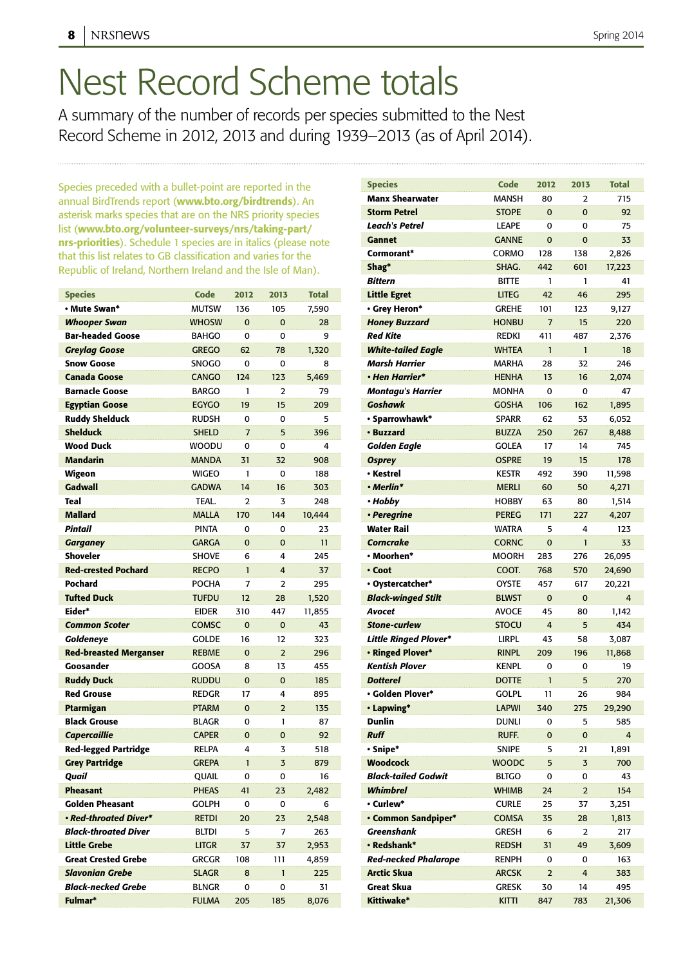## Nest Record Scheme totals

A summary of the number of records per species submitted to the Nest Record Scheme in 2012, 2013 and during 1939–2013 (as of April 2014).

Species preceded with a bullet-point are reported in the annual BirdTrends report (www.bto.org/birdtrends). An asterisk marks species that are on the NRS priority species list (www.bto.org/volunteer-surveys/nrs/taking-part/ nrs-priorities). Schedule 1 species are in italics (please note that this list relates to GB classification and varies for the Republic of Ireland, Northern Ireland and the Isle of Man).

| <b>Species</b>                | <b>Code</b>  | 2012           | 2013           | <b>Total</b> |
|-------------------------------|--------------|----------------|----------------|--------------|
| • Mute Swan*                  | <b>MUTSW</b> | 136            | 105            | 7,590        |
| <b>Whooper Swan</b>           | <b>WHOSW</b> | $\Omega$       | $\overline{0}$ | 28           |
| <b>Bar-headed Goose</b>       | <b>BAHGO</b> | 0              | 0              | 9            |
| <b>Greylag Goose</b>          | <b>GREGO</b> | 62             | 78             | 1,320        |
| <b>Snow Goose</b>             | <b>SNOGO</b> | 0              | 0              | 8            |
| <b>Canada Goose</b>           | <b>CANGO</b> | 124            | 123            | 5,469        |
| <b>Barnacle Goose</b>         | <b>BARGO</b> | 1              | $\overline{2}$ | 79           |
| <b>Egyptian Goose</b>         | <b>EGYGO</b> | 19             | 15             | 209          |
| <b>Ruddy Shelduck</b>         | <b>RUDSH</b> | 0              | 0              | 5            |
| <b>Shelduck</b>               | <b>SHELD</b> | $\overline{7}$ | 5              | 396          |
| <b>Wood Duck</b>              | <b>WOODU</b> | 0              | 0              | 4            |
| <b>Mandarin</b>               | <b>MANDA</b> | 31             | 32             | 908          |
| Wigeon                        | <b>WIGEO</b> | 1              | 0              | 188          |
| <b>Gadwall</b>                | <b>GADWA</b> | 14             | 16             | 303          |
| Teal                          | TEAL.        | $\overline{2}$ | 3              | 248          |
| <b>Mallard</b>                | <b>MALLA</b> | 170            | 144            | 10.444       |
| Pintail                       | <b>PINTA</b> | 0              | 0              | 23           |
| <b>Garganey</b>               | <b>GARGA</b> | $\Omega$       | $\overline{0}$ | 11           |
| <b>Shoveler</b>               | <b>SHOVE</b> | 6              | 4              | 245          |
| <b>Red-crested Pochard</b>    | <b>RECPO</b> | $\mathbf{1}$   | 4              | 37           |
| Pochard                       | <b>POCHA</b> | $\overline{7}$ | $\overline{a}$ | 295          |
| <b>Tufted Duck</b>            | <b>TUFDU</b> | 12             | 28             | 1,520        |
| Eider*                        | <b>EIDER</b> | 310            | 447            | 11,855       |
| <b>Common Scoter</b>          | <b>COMSC</b> | $\Omega$       | $\overline{0}$ | 43           |
| Goldeneye                     | <b>GOLDE</b> | 16             | 12             | 323          |
| <b>Red-breasted Merganser</b> | <b>REBME</b> | $\Omega$       | $\overline{2}$ | 296          |
| Goosander                     | <b>GOOSA</b> | 8              | 13             | 455          |
| <b>Ruddy Duck</b>             | <b>RUDDU</b> | $\mathbf 0$    | $\overline{0}$ | 185          |
| <b>Red Grouse</b>             | <b>REDGR</b> | 17             | 4              | 895          |
| Ptarmigan                     | <b>PTARM</b> | $\Omega$       | $\overline{2}$ | 135          |
| <b>Black Grouse</b>           | <b>BLAGR</b> | 0              | 1              | 87           |
| <b>Capercaillie</b>           | <b>CAPER</b> | $\overline{0}$ | $\overline{0}$ | 92           |
| <b>Red-legged Partridge</b>   | <b>RELPA</b> | 4              | 3              | 518          |
| <b>Grey Partridge</b>         | <b>GREPA</b> | $\mathbf{1}$   | 3              | 879          |
| Quail                         | QUAIL        | 0              | 0              | 16           |
| <b>Pheasant</b>               | <b>PHEAS</b> | 41             | 23             | 2,482        |
| Golden Pheasant               | GOI PH       | $\Omega$       | 0              | 6            |
| • Red-throated Diver*         | <b>RETDI</b> | 20             | 23             | 2,548        |
| <b>Black-throated Diver</b>   | <b>BLTDI</b> | 5              | 7              | 263          |
| <b>Little Grebe</b>           | <b>LITGR</b> | 37             | 37             | 2,953        |
| <b>Great Crested Grebe</b>    | GRCGR        | 108            | 111            | 4,859        |
| <b>Slavonian Grebe</b>        | <b>SLAGR</b> | 8              | $\mathbf{1}$   | 225          |
| <b>Black-necked Grebe</b>     | <b>BLNGR</b> | 0              | 0              | 31           |
| Fulmar*                       | <b>FULMA</b> | 205            | 185            | 8,076        |

| <b>Species</b>                             | Code                         | 2012           | 2013           | <b>Total</b>   |
|--------------------------------------------|------------------------------|----------------|----------------|----------------|
| <b>Manx Shearwater</b>                     | <b>MANSH</b>                 | 80             | $\overline{2}$ | 715            |
| <b>Storm Petrel</b>                        | <b>STOPE</b>                 | $\Omega$       | $\mathbf 0$    | 92             |
| Leach's Petrel                             | <b>LEAPE</b>                 | 0              | 0              | 75             |
| <b>Gannet</b>                              | <b>GANNE</b>                 | $\Omega$       | $\Omega$       | 33             |
| Cormorant*                                 | CORMO                        | 128            | 138            | 2,826          |
| Shag*                                      | SHAG.                        | 442            | 601            | 17,223         |
| Bittern                                    | <b>BITTE</b>                 | 1              | 1              | 41             |
| <b>Little Egret</b>                        | <b>LITEG</b>                 | 42             | 46             | 295            |
| • Grey Heron*                              | <b>GREHE</b>                 | 101            | 123            | 9,127          |
| <b>Honey Buzzard</b>                       | <b>HONBU</b>                 | $\overline{7}$ | 15             | 220            |
| Red Kite                                   | <b>REDKI</b>                 | 411            | 487            | 2,376          |
|                                            | <b>WHTEA</b>                 | 1              | $\mathbf{1}$   | 18             |
| <b>White-tailed Eagle</b><br>Marsh Harrier | <b>MARHA</b>                 | 28             | 32             | 246            |
| • Hen Harrier*                             | <b>HENHA</b>                 | 13             | 16             |                |
|                                            |                              |                |                | 2,074          |
| <b>Montagu's Harrier</b><br><b>Goshawk</b> | <b>MONHA</b><br><b>GOSHA</b> | 0              | 0              | 47             |
|                                            |                              | 106            | 162            | 1,895          |
| · Sparrowhawk*                             | <b>SPARR</b><br><b>BUZZA</b> | 62             | 53             | 6,052          |
| • Buzzard                                  |                              | 250            | 267            | 8,488          |
| <b>Golden Eagle</b>                        | <b>GOLEA</b>                 | 17             | 14             | 745            |
| <b>Osprey</b><br>• Kestrel                 | <b>OSPRE</b>                 | 19             | 15             | 178            |
|                                            | <b>KESTR</b>                 | 492            | 390            | 11,598         |
| $•$ Merlin*                                | <b>MERLI</b>                 | 60             | 50             | 4,271          |
| • Hobby                                    | <b>HOBBY</b>                 | 63             | 80             | 1,514          |
| · Peregrine                                | <b>PEREG</b>                 | 171            | 227            | 4,207          |
| Water Rail                                 | <b>WATRA</b>                 | 5              | 4              | 123            |
| <b>Corncrake</b>                           | <b>CORNC</b>                 | $\mathbf 0$    | $\mathbf{1}$   | 33             |
| • Moorhen*                                 | <b>MOORH</b>                 | 283            | 276            | 26,095         |
| • Coot                                     | COOT.                        | 768            | 570            | 24,690         |
| • Oystercatcher*                           | <b>OYSTE</b>                 | 457            | 617            | 20,221         |
| <b>Black-winged Stilt</b>                  | <b>BLWST</b>                 | $\mathbf 0$    | 0              | 4              |
| Avocet                                     | <b>AVOCE</b>                 | 45             | 80             | 1,142          |
| <b>Stone-curlew</b>                        | <b>STOCU</b>                 | $\overline{4}$ | 5              | 434            |
| <b>Little Ringed Plover*</b>               | <b>LIRPL</b>                 | 43             | 58             | 3,087          |
| • Ringed Plover*                           | <b>RINPL</b>                 | 209            | 196            | 11,868         |
| Kentish Plover                             | <b>KENPL</b>                 | 0              | 0              | 19             |
| <b>Dotterel</b>                            | <b>DOTTE</b>                 | $\mathbf{1}$   | 5              | 270            |
| · Golden Plover*                           | <b>GOLPL</b>                 | 11             | 26             | 984            |
| • Lapwing*                                 | <b>LAPWI</b>                 | 340            | 275            | 29,290         |
| <b>Dunlin</b>                              | <b>DUNLI</b>                 | 0              | 5              | 585            |
| <b>Ruff</b>                                | RUFF.                        | 0              | 0              | $\overline{4}$ |
| • Snipe*                                   | <b>SNIPE</b>                 | 5              | 21             | 1,891          |
| <b>Woodcock</b>                            | <b>WOODC</b>                 | 5              | 3              | 700            |
| <b>Black-tailed Godwit</b>                 | <b>BLTGO</b>                 | 0              | 0              | 43             |
| Whimbrel                                   | <b>WHIMB</b>                 | 24             | $\overline{2}$ | 154            |
| • Curlew*                                  | <b>CURLE</b>                 | 25             | 37             | 3,251          |
| <b>• Common Sandpiper*</b>                 | <b>COMSA</b>                 | 35             | 28             | 1,813          |
| <b>Greenshank</b>                          | <b>GRESH</b>                 | 6              | 2              | 217            |
| • Redshank*                                | <b>REDSH</b>                 | 31             | 49             | 3,609          |
| <b>Red-necked Phalarope</b>                | RENPH                        | 0              | 0              | 163            |
| <b>Arctic Skua</b>                         | <b>ARCSK</b>                 | $\overline{2}$ | 4              | 383            |
| <b>Great Skua</b>                          | <b>GRESK</b>                 | 30             | 14             | 495            |
| Kittiwake*                                 | <b>KITTI</b>                 | 847            | 783            | 21,306         |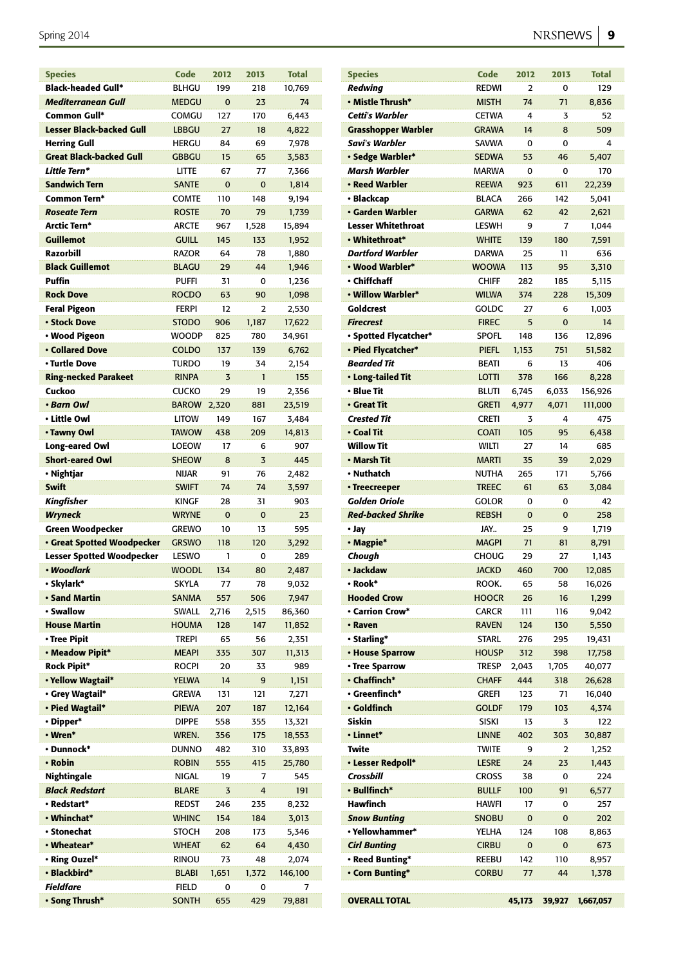| <b>Species</b>                    | Code         | 2012     | 2013     | <b>Total</b> |
|-----------------------------------|--------------|----------|----------|--------------|
| <b>Black-headed Gull*</b>         | <b>BLHGU</b> | 199      | 218      | 10,769       |
| <b>Mediterranean Gull</b>         | <b>MEDGU</b> | $\Omega$ | 23       | 74           |
| <b>Common Gull*</b>               | COMGU        | 127      | 170      | 6,443        |
| <b>Lesser Black-backed Gull</b>   | <b>LBBGU</b> | 27       | 18       | 4,822        |
| <b>Herring Gull</b>               | <b>HERGU</b> | 84       | 69       | 7,978        |
| <b>Great Black-backed Gull</b>    | <b>GBBGU</b> | 15       | 65       | 3,583        |
| Little Tern*                      | <b>LITTE</b> | 67       | 77       | 7,366        |
| <b>Sandwich Tern</b>              | <b>SANTE</b> | $\Omega$ | $\Omega$ | 1,814        |
| <b>Common Tern*</b>               | COMTE        | 110      | 148      | 9,194        |
| <b>Roseate Tern</b>               | <b>ROSTE</b> | 70       | 79       | 1,739        |
| Arctic Tern*                      | <b>ARCTE</b> | 967      | 1,528    | 15,894       |
| <b>Guillemot</b>                  | <b>GUILL</b> | 145      | 133      | 1,952        |
| Razorbill                         | <b>RAZOR</b> | 64       | 78       | 1,880        |
| <b>Black Guillemot</b>            | <b>BLAGU</b> | 29       | 44       | 1,946        |
| Puffin                            | <b>PUFFI</b> | 31       | 0        | 1,236        |
| <b>Rock Dove</b>                  | <b>ROCDO</b> | 63       | 90       |              |
| <b>Feral Pigeon</b>               |              | 12       |          | 1,098        |
|                                   | <b>FERPI</b> |          | 2        | 2,530        |
| <b>• Stock Dove</b>               | <b>STODO</b> | 906      | 1,187    | 17,622       |
| • Wood Pigeon                     | <b>WOODP</b> | 825      | 780      | 34,961       |
| <b>• Collared Dove</b>            | COLDO        | 137      | 139      | 6,762        |
| • Turtle Dove                     | <b>TURDO</b> | 19       | 34       | 2,154        |
| <b>Ring-necked Parakeet</b>       | <b>RINPA</b> | 3        | 1        | 155          |
| Cuckoo                            | <b>CUCKO</b> | 29       | 19       | 2,356        |
| • Barn Owl                        | <b>BAROW</b> | 2,320    | 881      | 23,519       |
| • Little Owl                      | <b>LITOW</b> | 149      | 167      | 3,484        |
| • Tawny Owl                       | <b>TAWOW</b> | 438      | 209      | 14,813       |
| Long-eared Owl                    | <b>LOEOW</b> | 17       | 6        | 907          |
| <b>Short-eared Owl</b>            | <b>SHEOW</b> | 8        | 3        | 445          |
| • Nightjar                        | NIJAR        | 91       | 76       | 2,482        |
| <b>Swift</b>                      | <b>SWIFT</b> | 74       | 74       | 3,597        |
| <b>Kingfisher</b>                 | <b>KINGF</b> | 28       | 31       | 903          |
| <b>Wryneck</b>                    | <b>WRYNE</b> | $\Omega$ | $\Omega$ | 23           |
| <b>Green Woodpecker</b>           | GREWO        | 10       | 13       | 595          |
| <b>· Great Spotted Woodpecker</b> | <b>GRSWO</b> | 118      | 120      | 3,292        |
| <b>Lesser Spotted Woodpecker</b>  | <b>LESWO</b> | 1        | 0        | 289          |
| • Woodlark                        | <b>WOODL</b> | 134      | 80       | 2,487        |
| · Skylark*                        | <b>SKYLA</b> | 77       | 78       | 9,032        |
| · Sand Martin                     | <b>SANMA</b> | 557      | 506      | 7,947        |
| • Swallow                         | <b>SWALL</b> | 2,716    | 2,515    | 86,360       |
| <b>House Martin</b>               | <b>HOUMA</b> | 128      | 147      | 11,852       |
| · Tree Pipit                      | <b>TREPI</b> | 65       | 56       | 2,351        |
| · Meadow Pipit*                   | <b>MEAPI</b> | 335      | 307      | 11,313       |
|                                   |              |          |          | 989          |
| <b>Rock Pipit*</b>                | <b>ROCPI</b> | 20       | 33       |              |
| · Yellow Wagtail*                 | <b>YELWA</b> | 14       | 9        | 1,151        |
| · Grey Wagtail*                   | <b>GREWA</b> | 131      | 121      | 7,271        |
| • Pied Wagtail*                   | <b>PIEWA</b> | 207      | 187      | 12,164       |
| · Dipper*                         | <b>DIPPE</b> | 558      | 355      | 13,321       |
| • Wren*                           | WREN.        | 356      | 175      | 18,553       |
| · Dunnock*                        | <b>DUNNO</b> | 482      | 310      | 33,893       |
| • Robin                           | <b>ROBIN</b> | 555      | 415      | 25,780       |
| Nightingale                       | <b>NIGAL</b> | 19       | 7        | 545          |
|                                   | <b>BLARE</b> | 3        | 4        | 191          |
| <b>Black Redstart</b>             |              |          | 235      | 8,232        |
| • Redstart*                       | <b>REDST</b> | 246      |          |              |
| • Whinchat*                       | <b>WHINC</b> | 154      | 184      | 3,013        |
| • Stonechat                       | <b>STOCH</b> | 208      | 173      | 5,346        |
| • Wheatear*                       | <b>WHEAT</b> | 62       | 64       | 4,430        |
| • Ring Ouzel*                     | rinou        | 73       | 48       | 2,074        |
| · Blackbird*                      | <b>BLABI</b> | 1,651    | 1,372    | 146,100      |
| <b>Fieldfare</b>                  | <b>FIELD</b> | 0        | 0        | 7            |

| <b>Species</b>                          | Code         | 2012  | 2013  | <b>Total</b> |
|-----------------------------------------|--------------|-------|-------|--------------|
| Redwing                                 | <b>REDWI</b> | 2     | 0     | 129          |
| • Mistle Thrush*                        | <b>MISTH</b> | 74    | 71    | 8,836        |
| Cetti's Warbler                         | <b>CETWA</b> | 4     | 3     | 52           |
| Grasshopper Warbler                     | <b>GRAWA</b> | 14    | 8     | 509          |
| Savi's Warbler                          | SAVWA        | 0     | 0     | 4            |
| • Sedge Warbler*                        | SEDWA        | 53    | 46    | 5,407        |
| Marsh Warbler                           | MARWA        | 0     | 0     | 170          |
|                                         |              |       |       |              |
| • Reed Warbler                          | <b>REEWA</b> | 923   | 611   | 22,239       |
| • Blackcap                              | <b>BLACA</b> | 266   | 142   | 5,041        |
| • Garden Warbler                        | <b>GARWA</b> | 62    | 42    | 2,621        |
| <b>Lesser Whitethroat</b>               | LESWH        | 9     | 7     | 1,044        |
| • Whitethroat*                          | <b>WHITE</b> | 139   | 180   | 7,591        |
| <b>Dartford Warbler</b>                 | <b>DARWA</b> | 25    | 11    | 636          |
| • Wood Warbler*                         | <b>WOOWA</b> | 113   | 95    | 3,310        |
| • Chiffchaff                            | <b>CHIFF</b> | 282   | 185   | 5,115        |
| • Willow Warbler*                       | <b>WILWA</b> | 374   | 228   | 15,309       |
| Goldcrest                               | GOLDC        | 27    | 6     | 1,003        |
| <b>Firecrest</b>                        | <b>FIREC</b> | 5     | 0     | 14           |
| • Spotted Flycatcher*                   | <b>SPOFL</b> | 148   | 136   | 12,896       |
|                                         |              |       |       |              |
| • Pied Flycatcher*                      | <b>PIEFL</b> | 1,153 | 751   | 51,582       |
| <b>Bearded Tit</b>                      | <b>BEATI</b> | 6     | 13    | 406          |
| • Long-tailed Tit                       | <b>LOTTI</b> | 378   | 166   | 8,228        |
| • Blue Tit                              | <b>BLUTI</b> | 6,745 | 6,033 | 156,926      |
| • Great Tit                             | <b>GRETI</b> | 4,977 | 4,071 | 111,000      |
| Crested Tit                             | <b>CRETI</b> | 3     | 4     | 475          |
| • Coal Tit                              | <b>COATI</b> | 105   | 95    | 6,438        |
| <b>Willow Tit</b>                       | <b>WILTI</b> | 27    | 14    | 685          |
| • Marsh Tit                             | <b>MARTI</b> | 35    | 39    | 2,029        |
| • Nuthatch                              | NUTHA        | 265   | 171   | 5,766        |
| • Treecreeper                           | <b>TREEC</b> | 61    | 63    | 3,084        |
| <b>Golden Oriole</b>                    | GOLOR        | 0     | 0     | 42           |
| <b>Red-backed Shrike</b>                |              |       |       | 258          |
|                                         | <b>REBSH</b> | 0     | 0     |              |
| • Jay                                   | JAY          | 25    | 9     | 1,719        |
| • Magpie*                               | <b>MAGPI</b> | 71    | 81    | 8,791        |
|                                         |              |       |       |              |
| Chough                                  | <b>CHOUG</b> | 29    | 27    | 1,143        |
| • Jackdaw                               | <b>JACKD</b> | 460   | 700   | 12,085       |
| • Rook*                                 | ROOK.        | 65    | 58    | 16,026       |
| <b>Hooded Crow</b>                      | HOOCR        | 26    | 16    | 1,299        |
| • Carrion Crow*                         | <b>CARCR</b> | 111   | 116   | 9,042        |
| • Raven                                 | RAVEN        | 124   | 130   | 5,550        |
| • Starling*                             | Starl        | 276   | 295   | 19,431       |
| • House Sparrow                         | <b>HOUSP</b> | 312   | 398   | 17,758       |
| • Tree Sparrow                          | TRESP        | 2,043 | 1,705 | 40,077       |
|                                         |              |       |       |              |
| • Chaffinch*<br>$\cdot$ Greenfinch $^*$ | <b>CHAFF</b> | 444   | 318   | 26,628       |
|                                         | Grefi        | 123   | 71    | 16,040       |
| • Goldfinch                             | <b>GOLDF</b> | 179   | 103   | 4,374        |
| Siskin                                  | <b>SISKI</b> | 13    | 3     | 122          |
| • Linnet*                               | <b>LINNE</b> | 402   | 303   | 30,887       |
| Twite                                   | <b>TWITE</b> | 9     | 2     | 1,252        |
| • Lesser Redpoll*                       | <b>LESRE</b> | 24    | 23    | 1,443        |
| Crossbill                               | CROSS        | 38    | 0     | 224          |
| • Bullfinch*                            | <b>BULLF</b> | 100   | 91    | 6,577        |
| Hawfinch                                | HAWFI        | 17    | 0     | 257          |
| <b>Snow Bunting</b>                     | SNOBU        | 0     | 0     | 202          |
| • Yellowhammer*                         | YELHA        | 124   | 108   | 8,863        |
| <b>Cirl Bunting</b>                     | <b>CIRBU</b> | 0     | 0     | 673          |
| • Reed Bunting*                         | REEBU        | 142   | 110   | 8,957        |
| • Corn Bunting*                         | <b>CORBU</b> | 77    | 44    |              |
|                                         |              |       |       | 1,378        |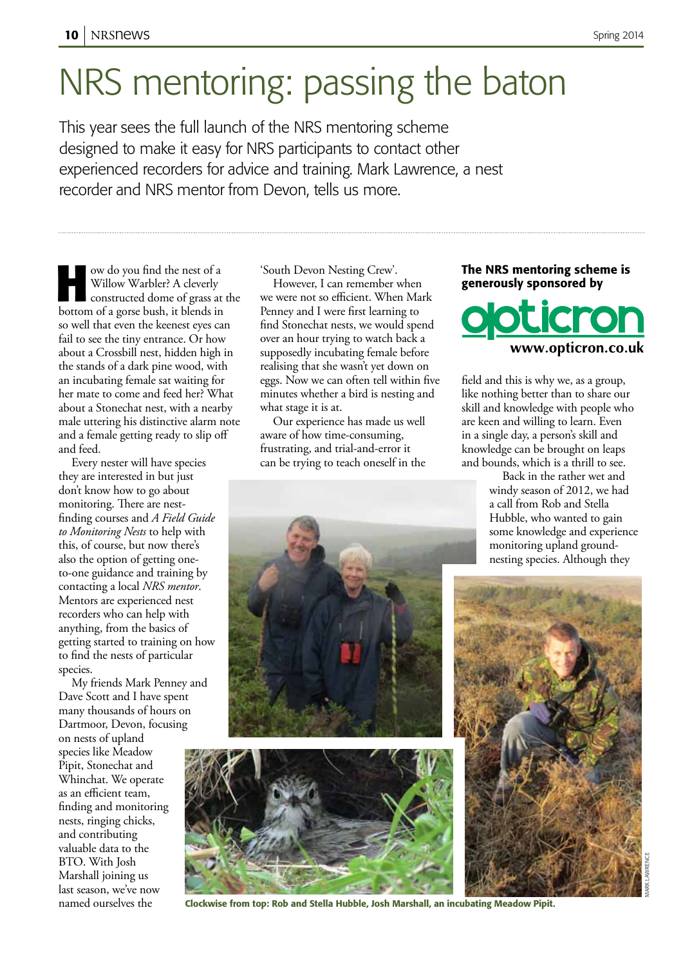# NRS mentoring: passing the baton

This year sees the full launch of the NRS mentoring scheme designed to make it easy for NRS participants to contact other experienced recorders for advice and training. Mark Lawrence, a nest recorder and NRS mentor from Devon, tells us more.

**How do you find the nest of a<br>
Willow Warbler? A cleverly<br>
constructed dome of grass at the<br>
better of a gorse bush it blends in** Willow Warbler? A cleverly bottom of a gorse bush, it blends in so well that even the keenest eyes can fail to see the tiny entrance. Or how about a Crossbill nest, hidden high in the stands of a dark pine wood, with an incubating female sat waiting for her mate to come and feed her? What about a Stonechat nest, with a nearby male uttering his distinctive alarm note and a female getting ready to slip off and feed.

Every nester will have species they are interested in but just don't know how to go about monitoring. There are nestfinding courses and *A Field Guide to Monitoring Nests* to help with this, of course, but now there's also the option of getting oneto-one guidance and training by contacting a local *NRS mentor*. Mentors are experienced nest recorders who can help with anything, from the basics of getting started to training on how to find the nests of particular species.

My friends Mark Penney and Dave Scott and I have spent many thousands of hours on Dartmoor, Devon, focusing on nests of upland species like Meadow Pipit, Stonechat and Whinchat. We operate as an efficient team, finding and monitoring nests, ringing chicks, and contributing valuable data to the BTO. With Josh Marshall joining us last season, we've now named ourselves the

'South Devon Nesting Crew'.

However, I can remember when we were not so efficient. When Mark Penney and I were first learning to find Stonechat nests, we would spend over an hour trying to watch back a supposedly incubating female before realising that she wasn't yet down on eggs. Now we can often tell within five minutes whether a bird is nesting and what stage it is at.

Our experience has made us well aware of how time-consuming, frustrating, and trial-and-error it can be trying to teach oneself in the

#### The NRS mentoring scheme is generously sponsored by



field and this is why we, as a group, like nothing better than to share our skill and knowledge with people who are keen and willing to learn. Even in a single day, a person's skill and knowledge can be brought on leaps and bounds, which is a thrill to see.

> Back in the rather wet and windy season of 2012, we had a call from Rob and Stella Hubble, who wanted to gain some knowledge and experience monitoring upland groundnesting species. Although they

> > Mark lawrence





Clockwise from top: Rob and Stella Hubble, Josh Marshall, an incubating Meadow Pipit.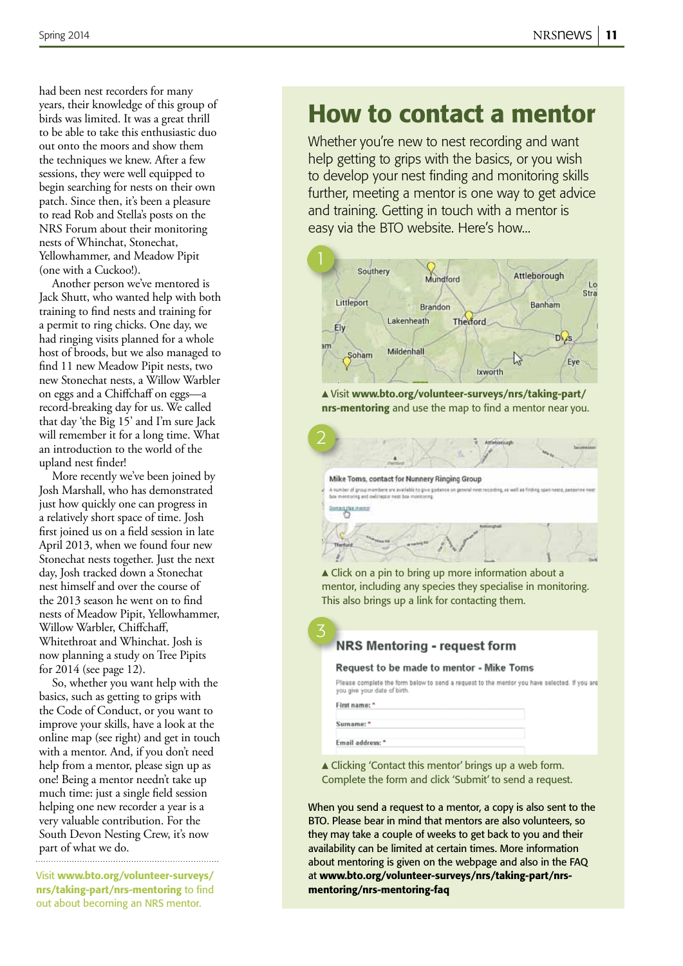had been nest recorders for many years, their knowledge of this group of birds was limited. It was a great thrill to be able to take this enthusiastic duo out onto the moors and show them the techniques we knew. After a few sessions, they were well equipped to begin searching for nests on their own patch. Since then, it's been a pleasure to read Rob and Stella's posts on the NRS Forum about their monitoring nests of Whinchat, Stonechat, Yellowhammer, and Meadow Pipit (one with a Cuckoo!).

Another person we've mentored is Jack Shutt, who wanted help with both training to find nests and training for a permit to ring chicks. One day, we had ringing visits planned for a whole host of broods, but we also managed to find 11 new Meadow Pipit nests, two new Stonechat nests, a Willow Warbler on eggs and a Chiffchaff on eggs—a record-breaking day for us. We called that day 'the Big 15' and I'm sure Jack will remember it for a long time. What an introduction to the world of the upland nest finder!

More recently we've been joined by Josh Marshall, who has demonstrated just how quickly one can progress in a relatively short space of time. Josh first joined us on a field session in late April 2013, when we found four new Stonechat nests together. Just the next day, Josh tracked down a Stonechat nest himself and over the course of the 2013 season he went on to find nests of Meadow Pipit, Yellowhammer, Willow Warbler, Chiffchaff, Whitethroat and Whinchat. Josh is now planning a study on Tree Pipits for 2014 (see page 12).

So, whether you want help with the basics, such as getting to grips with the Code of Conduct, or you want to improve your skills, have a look at the online map (see right) and get in touch with a mentor. And, if you don't need help from a mentor, please sign up as one! Being a mentor needn't take up much time: just a single field session helping one new recorder a year is a very valuable contribution. For the South Devon Nesting Crew, it's now part of what we do.

Visit www.bto.org/volunteer-surveys/ nrs/taking-part/nrs-mentoring to find out about becoming an NRS mentor.

### How to contact a mentor

Whether you're new to nest recording and want help getting to grips with the basics, or you wish to develop your nest finding and monitoring skills further, meeting a mentor is one way to get advice and training. Getting in touch with a mentor is easy via the BTO website. Here's how...



 Visit www.bto.org/volunteer-surveys/nrs/taking-part/ nrs-mentoring and use the map to find a mentor near you.

en ure available to give guidance on p

Mike Toms, contact for Nunnery Ringing Group

▲ Click on a pin to bring up more information about a mentor, including any species they specialise in monitoring. This also brings up a link for contacting them.

#### **NRS Mentoring - request form**

#### Request to be made to mentor - Mike Toms

Please complete the form below to send a request to the mentor you have selected. If you are you give your date of birth

First name: \* Surname:

Email address: \*

3

targha n

 Clicking 'Contact this mentor' brings up a web form. Complete the form and click 'Submit' to send a request.

When you send a request to a mentor, a copy is also sent to the BTO. Please bear in mind that mentors are also volunteers, so they may take a couple of weeks to get back to you and their availability can be limited at certain times. More information about mentoring is given on the webpage and also in the FAQ at www.bto.org/volunteer-surveys/nrs/taking-part/nrsmentoring/nrs-mentoring-faq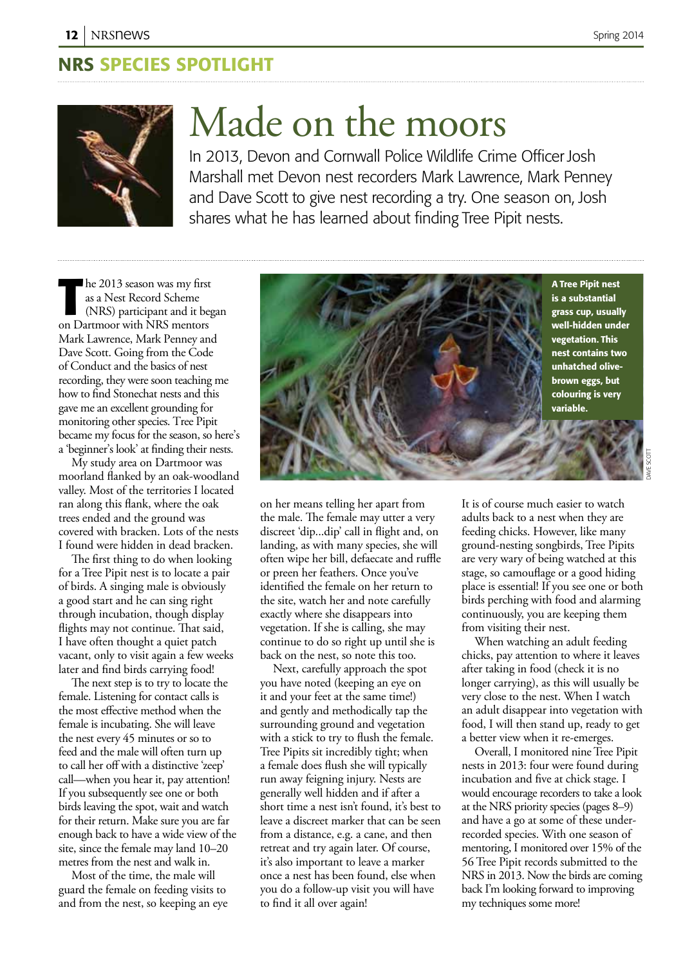### NRS species Spotlight



# Made on the moors

In 2013, Devon and Cornwall Police Wildlife Crime Officer Josh Marshall met Devon nest recorders Mark Lawrence, Mark Penney and Dave Scott to give nest recording a try. One season on, Josh shares what he has learned about finding Tree Pipit nests.

**The 2013 season was my first as a Nest Record Scheme (NRS) participant and it began Dartmoor with NRS mentors** he 2013 season was my first as a Nest Record Scheme (NRS) participant and it began Mark Lawrence, Mark Penney and Dave Scott. Going from the Code of Conduct and the basics of nest recording, they were soon teaching me how to find Stonechat nests and this gave me an excellent grounding for monitoring other species. Tree Pipit became my focus for the season, so here's a 'beginner's look' at finding their nests.

My study area on Dartmoor was moorland flanked by an oak-woodland valley. Most of the territories I located ran along this flank, where the oak trees ended and the ground was covered with bracken. Lots of the nests I found were hidden in dead bracken.

The first thing to do when looking for a Tree Pipit nest is to locate a pair of birds. A singing male is obviously a good start and he can sing right through incubation, though display flights may not continue. That said, I have often thought a quiet patch vacant, only to visit again a few weeks later and find birds carrying food!

The next step is to try to locate the female. Listening for contact calls is the most effective method when the female is incubating. She will leave the nest every 45 minutes or so to feed and the male will often turn up to call her off with a distinctive 'zeep' call—when you hear it, pay attention! If you subsequently see one or both birds leaving the spot, wait and watch for their return. Make sure you are far enough back to have a wide view of the site, since the female may land 10–20 metres from the nest and walk in.

Most of the time, the male will guard the female on feeding visits to and from the nest, so keeping an eye



on her means telling her apart from the male. The female may utter a very discreet 'dip...dip' call in flight and, on landing, as with many species, she will often wipe her bill, defaecate and ruffle or preen her feathers. Once you've identified the female on her return to the site, watch her and note carefully exactly where she disappears into vegetation. If she is calling, she may continue to do so right up until she is back on the nest, so note this too.

Next, carefully approach the spot you have noted (keeping an eye on it and your feet at the same time!) and gently and methodically tap the surrounding ground and vegetation with a stick to try to flush the female. Tree Pipits sit incredibly tight; when a female does flush she will typically run away feigning injury. Nests are generally well hidden and if after a short time a nest isn't found, it's best to leave a discreet marker that can be seen from a distance, e.g. a cane, and then retreat and try again later. Of course, it's also important to leave a marker once a nest has been found, else when you do a follow-up visit you will have to find it all over again!

It is of course much easier to watch adults back to a nest when they are feeding chicks. However, like many ground-nesting songbirds, Tree Pipits are very wary of being watched at this stage, so camouflage or a good hiding place is essential! If you see one or both birds perching with food and alarming continuously, you are keeping them from visiting their nest.

When watching an adult feeding chicks, pay attention to where it leaves after taking in food (check it is no longer carrying), as this will usually be very close to the nest. When I watch an adult disappear into vegetation with food, I will then stand up, ready to get a better view when it re-emerges.

Overall, I monitored nine Tree Pipit nests in 2013: four were found during incubation and five at chick stage. I would encourage recorders to take a look at the NRS priority species (pages 8–9) and have a go at some of these underrecorded species. With one season of mentoring, I monitored over 15% of the 56 Tree Pipit records submitted to the NRS in 2013. Now the birds are coming back I'm looking forward to improving my techniques some more!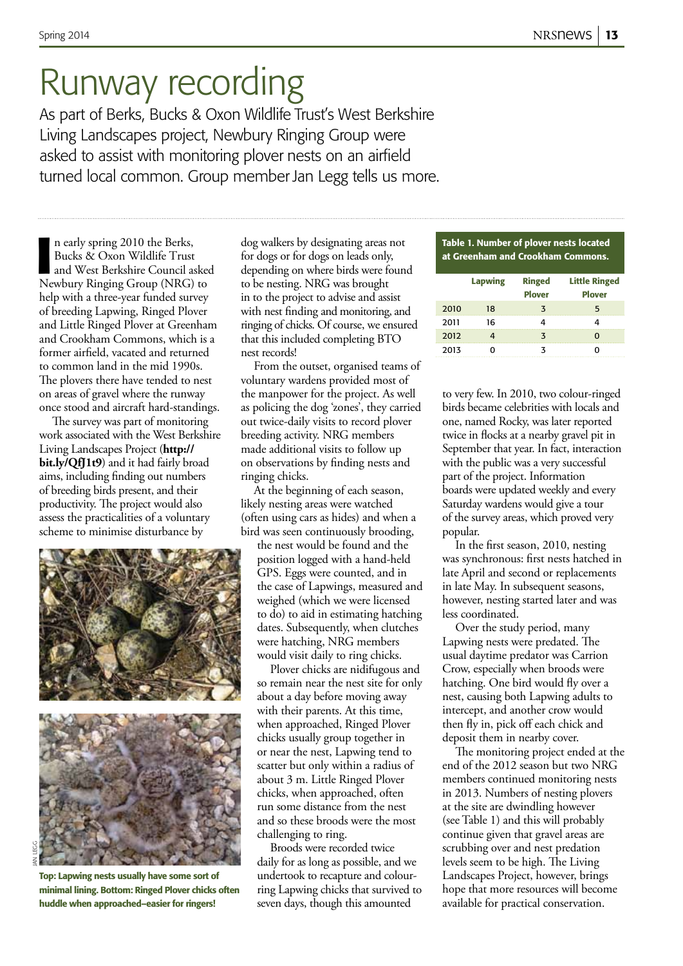## Runway recording

As part of Berks, Bucks & Oxon Wildlife Trust's West Berkshire Living Landscapes project, Newbury Ringing Group were asked to assist with monitoring plover nests on an airfield turned local common. Group member Jan Legg tells us more.

**I** n early spring 2010 the Berks,<br>Bucks & Oxon Wildlife Trust<br>and West Berkshire Council asked<br>Newbury Ringing Group (NRG) to n early spring 2010 the Berks, Bucks & Oxon Wildlife Trust and West Berkshire Council asked help with a three-year funded survey of breeding Lapwing, Ringed Plover and Little Ringed Plover at Greenham and Crookham Commons, which is a former airfield, vacated and returned to common land in the mid 1990s. The plovers there have tended to nest on areas of gravel where the runway once stood and aircraft hard-standings.

The survey was part of monitoring work associated with the West Berkshire Living Landscapes Project (**http:// bit.ly/QfJ1t9**) and it had fairly broad aims, including finding out numbers of breeding birds present, and their productivity. The project would also assess the practicalities of a voluntary scheme to minimise disturbance by



Top: Lapwing nests usually have some sort of minimal lining. Bottom: Ringed Plover chicks often huddle when approached–easier for ringers!

dog walkers by designating areas not for dogs or for dogs on leads only, depending on where birds were found to be nesting. NRG was brought in to the project to advise and assist with nest finding and monitoring, and ringing of chicks. Of course, we ensured that this included completing BTO nest records!

From the outset, organised teams of voluntary wardens provided most of the manpower for the project. As well as policing the dog 'zones', they carried out twice-daily visits to record plover breeding activity. NRG members made additional visits to follow up on observations by finding nests and ringing chicks.

At the beginning of each season, likely nesting areas were watched (often using cars as hides) and when a bird was seen continuously brooding,

the nest would be found and the position logged with a hand-held GPS. Eggs were counted, and in the case of Lapwings, measured and weighed (which we were licensed to do) to aid in estimating hatching dates. Subsequently, when clutches were hatching, NRG members would visit daily to ring chicks.

Plover chicks are nidifugous and so remain near the nest site for only about a day before moving away with their parents. At this time, when approached, Ringed Plover chicks usually group together in or near the nest, Lapwing tend to scatter but only within a radius of about 3 m. Little Ringed Plover chicks, when approached, often run some distance from the nest and so these broods were the most challenging to ring.

Broods were recorded twice daily for as long as possible, and we undertook to recapture and colourring Lapwing chicks that survived to seven days, though this amounted

#### Table 1. Number of plover nests located at Greenham and Crookham Commons.

|      | <b>Lapwing</b> | <b>Ringed</b><br><b>Plover</b> | <b>Little Ringed</b><br><b>Plover</b> |
|------|----------------|--------------------------------|---------------------------------------|
| 2010 | 18             | 3                              | 5                                     |
| 2011 | 16             |                                |                                       |
| 2012 |                |                                |                                       |
| 2013 |                |                                |                                       |

to very few. In 2010, two colour-ringed birds became celebrities with locals and one, named Rocky, was later reported twice in flocks at a nearby gravel pit in September that year. In fact, interaction with the public was a very successful part of the project. Information boards were updated weekly and every Saturday wardens would give a tour of the survey areas, which proved very popular.

In the first season, 2010, nesting was synchronous: first nests hatched in late April and second or replacements in late May. In subsequent seasons, however, nesting started later and was less coordinated.

Over the study period, many Lapwing nests were predated. The usual daytime predator was Carrion Crow, especially when broods were hatching. One bird would fly over a nest, causing both Lapwing adults to intercept, and another crow would then fly in, pick off each chick and deposit them in nearby cover.

The monitoring project ended at the end of the 2012 season but two NRG members continued monitoring nests in 2013. Numbers of nesting plovers at the site are dwindling however (see Table 1) and this will probably continue given that gravel areas are scrubbing over and nest predation levels seem to be high. The Living Landscapes Project, however, brings hope that more resources will become available for practical conservation.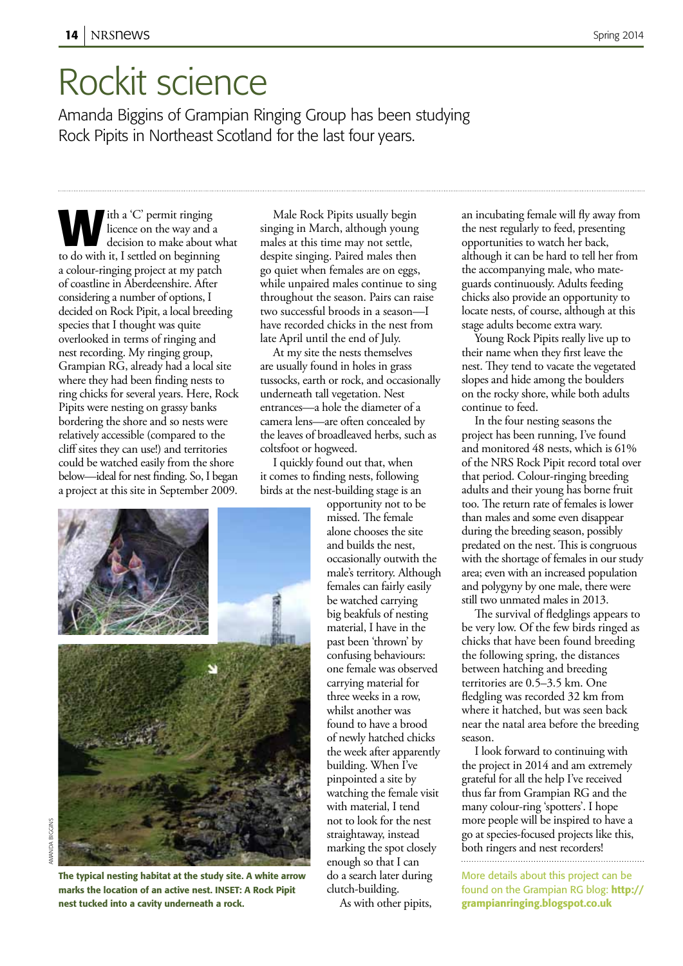## Rockit science

Amanda Biggins of Grampian Ringing Group has been studying Rock Pipits in Northeast Scotland for the last four years.

ith a 'C' permit ringing licence on the way and a decision to make about what to do with it, I settled on beginning a colour-ringing project at my patch of coastline in Aberdeenshire. After considering a number of options, I decided on Rock Pipit, a local breeding species that I thought was quite overlooked in terms of ringing and nest recording. My ringing group, Grampian RG, already had a local site where they had been finding nests to ring chicks for several years. Here, Rock Pipits were nesting on grassy banks bordering the shore and so nests were relatively accessible (compared to the cliff sites they can use!) and territories could be watched easily from the shore below—ideal for nest finding. So, I began a project at this site in September 2009.

Male Rock Pipits usually begin singing in March, although young males at this time may not settle, despite singing. Paired males then go quiet when females are on eggs, while unpaired males continue to sing throughout the season. Pairs can raise two successful broods in a season—I have recorded chicks in the nest from late April until the end of July.

At my site the nests themselves are usually found in holes in grass tussocks, earth or rock, and occasionally underneath tall vegetation. Nest entrances—a hole the diameter of a camera lens—are often concealed by the leaves of broadleaved herbs, such as coltsfoot or hogweed.

I quickly found out that, when it comes to finding nests, following birds at the nest-building stage is an

> opportunity not to be missed. The female alone chooses the site and builds the nest, occasionally outwith the male's territory. Although females can fairly easily be watched carrying big beakfuls of nesting material, I have in the past been 'thrown' by confusing behaviours: one female was observed carrying material for three weeks in a row, whilst another was found to have a brood of newly hatched chicks the week after apparently building. When I've pinpointed a site by watching the female visit with material, I tend not to look for the nest straightaway, instead marking the spot closely enough so that I can do a search later during clutch-building.

As with other pipits,

an incubating female will fly away from the nest regularly to feed, presenting opportunities to watch her back, although it can be hard to tell her from the accompanying male, who mateguards continuously. Adults feeding chicks also provide an opportunity to locate nests, of course, although at this stage adults become extra wary.

Young Rock Pipits really live up to their name when they first leave the nest. They tend to vacate the vegetated slopes and hide among the boulders on the rocky shore, while both adults continue to feed.

In the four nesting seasons the project has been running, I've found and monitored 48 nests, which is 61% of the NRS Rock Pipit record total over that period. Colour-ringing breeding adults and their young has borne fruit too. The return rate of females is lower than males and some even disappear during the breeding season, possibly predated on the nest. This is congruous with the shortage of females in our study area; even with an increased population and polygyny by one male, there were still two unmated males in 2013.

The survival of fledglings appears to be very low. Of the few birds ringed as chicks that have been found breeding the following spring, the distances between hatching and breeding territories are 0.5–3.5 km. One fledgling was recorded 32 km from where it hatched, but was seen back near the natal area before the breeding season.

I look forward to continuing with the project in 2014 and am extremely grateful for all the help I've received thus far from Grampian RG and the many colour-ring 'spotters'. I hope more people will be inspired to have a go at species-focused projects like this, both ringers and nest recorders!

More details about this project can be found on the Grampian RG blog: http:// grampianringing.blogspot.co.uk



marks the location of an active nest. INSET: A Rock Pipit

nest tucked into a cavity underneath a rock.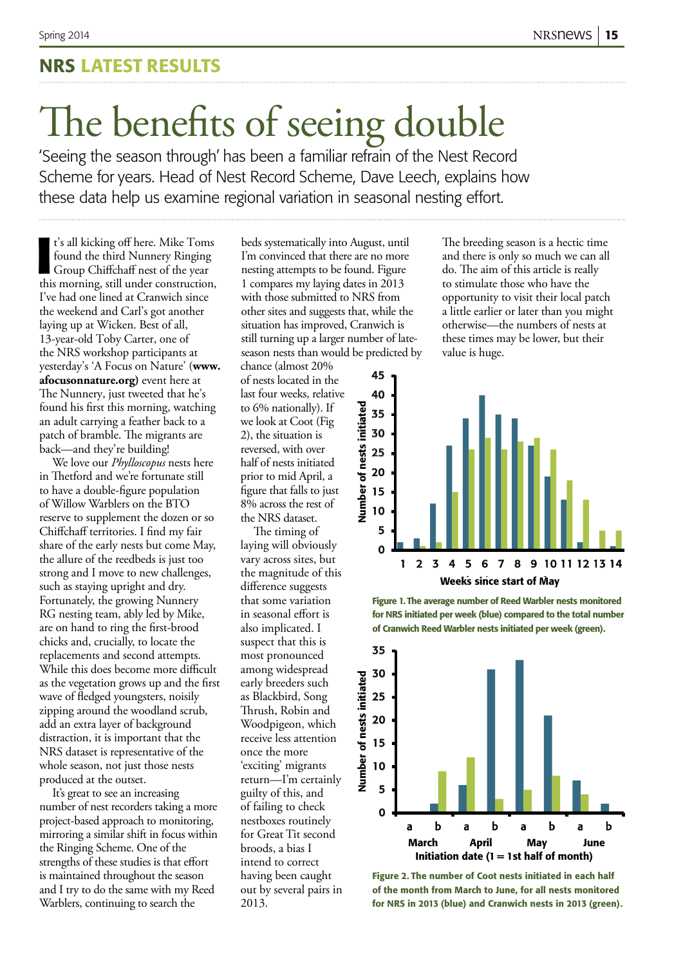### NRS Latest results

# The benefits of seeing double

'Seeing the season through' has been a familiar refrain of the Nest Record Scheme for years. Head of Nest Record Scheme, Dave Leech, explains how these data help us examine regional variation in seasonal nesting effort.

**I**<sup>t</sup>'s all kicking off here. Mike Toms<br>found the third Nunnery Ringing<br>Group Chiffchaff nest of the year<br>this morning, still under construction, t's all kicking off here. Mike Toms found the third Nunnery Ringing Group Chiffchaff nest of the year I've had one lined at Cranwich since the weekend and Carl's got another laying up at Wicken. Best of all, 13-year-old Toby Carter, one of the NRS workshop participants at yesterday's 'A Focus on Nature' (**www. afocusonnature.org)** event here at The Nunnery, just tweeted that he's found his first this morning, watching an adult carrying a feather back to a patch of bramble. The migrants are back—and they're building!

We love our *Phylloscopus* nests here in Thetford and we're fortunate still to have a double-figure population of Willow Warblers on the BTO reserve to supplement the dozen or so Chiffchaff territories. I find my fair share of the early nests but come May, the allure of the reedbeds is just too strong and I move to new challenges, such as staying upright and dry. Fortunately, the growing Nunnery RG nesting team, ably led by Mike, are on hand to ring the first-brood chicks and, crucially, to locate the replacements and second attempts. While this does become more difficult as the vegetation grows up and the first wave of fledged youngsters, noisily zipping around the woodland scrub, add an extra layer of background distraction, it is important that the NRS dataset is representative of the whole season, not just those nests produced at the outset.

It's great to see an increasing number of nest recorders taking a more project-based approach to monitoring, mirroring a similar shift in focus within the Ringing Scheme. One of the strengths of these studies is that effort is maintained throughout the season and I try to do the same with my Reed Warblers, continuing to search the

beds systematically into August, until I'm convinced that there are no more nesting attempts to be found. Figure 1 compares my laying dates in 2013 with those submitted to NRS from other sites and suggests that, while the situation has improved, Cranwich is still turning up a larger number of lateseason nests than would be predicted by

chance (almost 20% of nests located in the last four weeks, relative to 6% nationally). If we look at Coot (Fig 2), the situation is reversed, with over half of nests initiated prior to mid April, a figure that falls to just 8% across the rest of the NRS dataset.

The timing of laying will obviously vary across sites, but the magnitude of this difference suggests that some variation in seasonal effort is also implicated. I suspect that this is most pronounced among widespread early breeders such as Blackbird, Song Thrush, Robin and Woodpigeon, which receive less attention once the more 'exciting' migrants return—I'm certainly guilty of this, and of failing to check nestboxes routinely for Great Tit second broods, a bias I intend to correct having been caught out by several pairs in 2013.

The breeding season is a hectic time and there is only so much we can all do. The aim of this article is really to stimulate those who have the opportunity to visit their local patch a little earlier or later than you might otherwise—the numbers of nests at these times may be lower, but their value is huge.



Figure 1. The average number of Reed Warbler nests monitored for NRS initiated per week (blue) compared to the total number of Cranwich Reed Warbler nests initiated per week (green).



Figure 2. The number of Coot nests initiated in each half of the month from March to June, for all nests monitored for NRS in 2013 (blue) and Cranwich nests in 2013 (green).